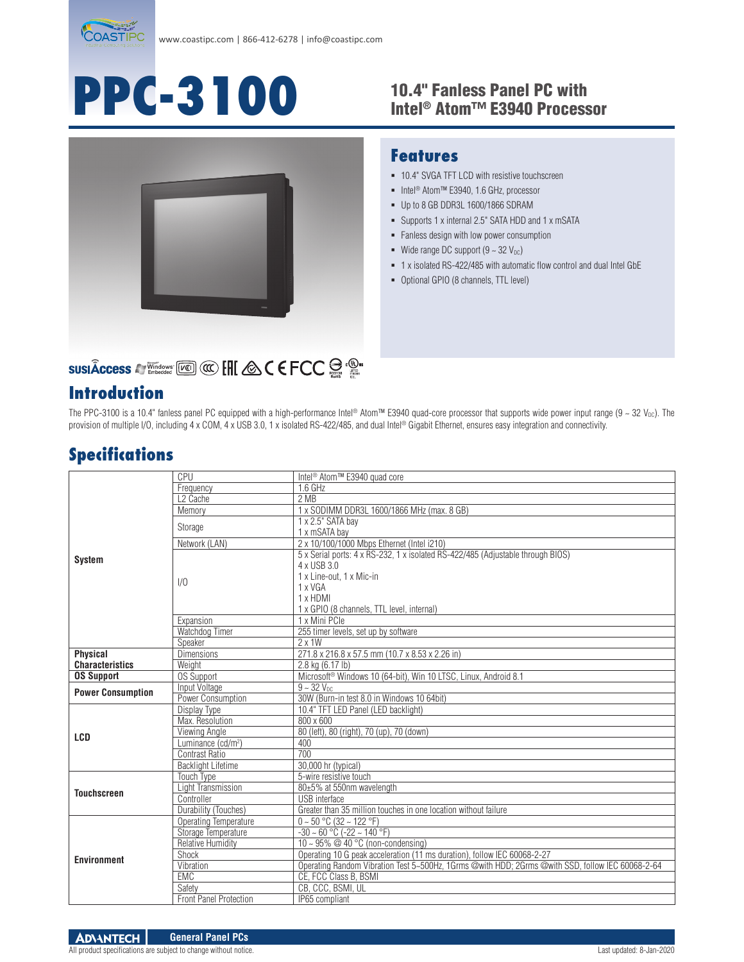

# **PPC-3100**

#### 10.4" Fanless Panel PC with Intel® Atom™ E3940 Processor



# **SUSIÂCCESS A Windows [Kell] @ C E FCC a Only in the Second Access A** Emission **Report Access**

#### **Introduction**

## **Features**

- **10.4" SVGA TFT LCD with resistive touchscreen**
- Intel<sup>®</sup> Atom™ E3940, 1.6 GHz, processor
- Up to 8 GB DDR3L 1600/1866 SDRAM
- Supports 1 x internal 2.5" SATA HDD and 1 x mSATA
- **Fanless design with low power consumption**
- Wide range DC support  $(9 \sim 32 \text{ V}_{\text{DC}})$
- 1 x isolated RS-422/485 with automatic flow control and dual Intel GbE
- Optional GPIO (8 channels, TTL level)

The PPC-3100 is a 10.4" fanless panel PC equipped with a high-performance Intel® Atom™ E3940 quad-core processor that supports wide power input range (9 ~ 32 V<sub>DC</sub>). The provision of multiple I/O, including 4 x COM, 4 x USB 3.0, 1 x isolated RS-422/485, and dual Intel® Gigabit Ethernet, ensures easy integration and connectivity.

### **Specifications**

|                          | CPU                            | Intel <sup>®</sup> Atom™ E3940 quad core                                                         |
|--------------------------|--------------------------------|--------------------------------------------------------------------------------------------------|
| <b>System</b>            | Frequency                      | 1.6 GHz                                                                                          |
|                          | L <sub>2</sub> Cache           | 2 MB                                                                                             |
|                          | Memory                         | 1 x SODIMM DDR3L 1600/1866 MHz (max. 8 GB)                                                       |
|                          | Storage                        | 1 x 2.5" SATA bay                                                                                |
|                          |                                | 1 x mSATA bay                                                                                    |
|                          | Network (LAN)                  | 2 x 10/100/1000 Mbps Ethernet (Intel i210)                                                       |
|                          | 1/0                            | 5 x Serial ports: 4 x RS-232, 1 x isolated RS-422/485 (Adjustable through BIOS)                  |
|                          |                                | 4 x USB 3.0                                                                                      |
|                          |                                | 1 x Line-out. 1 x Mic-in                                                                         |
|                          |                                | 1 x VGA                                                                                          |
|                          |                                | 1 x HDMI                                                                                         |
|                          |                                | 1 x GPIO (8 channels, TTL level, internal)                                                       |
|                          | Expansion                      | 1 x Mini PCle                                                                                    |
|                          | Watchdog Timer                 | 255 timer levels, set up by software                                                             |
|                          | Speaker                        | $2 \times 1W$                                                                                    |
| <b>Physical</b>          | <b>Dimensions</b>              | 271.8 x 216.8 x 57.5 mm (10.7 x 8.53 x 2.26 in)                                                  |
| <b>Characteristics</b>   | Weight                         | 2.8 kg (6.17 lb)                                                                                 |
| <b>OS Support</b>        | <b>OS Support</b>              | Microsoft <sup>®</sup> Windows 10 (64-bit), Win 10 LTSC, Linux, Android 8.1                      |
| <b>Power Consumption</b> | Input Voltage                  | $9 - 32$ V <sub>nc</sub>                                                                         |
|                          | Power Consumption              | 30W (Burn-in test 8.0 in Windows 10 64bit)                                                       |
| LCD                      | Display Type                   | 10.4" TFT LED Panel (LED backlight)                                                              |
|                          | Max. Resolution                | 800 x 600                                                                                        |
|                          | Viewing Angle                  | 80 (left), 80 (right), 70 (up), 70 (down)                                                        |
|                          | Luminance (cd/m <sup>2</sup> ) | 400                                                                                              |
|                          | Contrast Ratio                 | 700                                                                                              |
|                          | <b>Backlight Lifetime</b>      | 30,000 hr (typical)                                                                              |
| <b>Touchscreen</b>       | <b>Touch Type</b>              | 5-wire resistive touch                                                                           |
|                          | Light Transmission             | 80±5% at 550nm wavelength                                                                        |
|                          | Controller                     | <b>USB</b> interface                                                                             |
|                          | Durability (Touches)           | Greater than 35 million touches in one location without failure                                  |
| <b>Environment</b>       | Operating Temperature          | $0 - 50$ °C (32 ~ 122 °F)                                                                        |
|                          | Storage Temperature            | $-30 \sim 60$ °C ( $-22 \sim 140$ °F)                                                            |
|                          | <b>Relative Humidity</b>       | 10 ~ 95% @ 40 $\degree$ C (non-condensing)                                                       |
|                          | Shock                          | Operating 10 G peak acceleration (11 ms duration), follow IEC 60068-2-27                         |
|                          | Vibration                      | Operating Random Vibration Test 5~500Hz, 1Grms @with HDD; 2Grms @with SSD, follow IEC 60068-2-64 |
|                          | EMC                            | CE, FCC Class B, BSMI                                                                            |
|                          | Safety                         | CB, CCC, BSMI, UL                                                                                |
|                          | <b>Front Panel Protection</b>  | IP65 compliant                                                                                   |